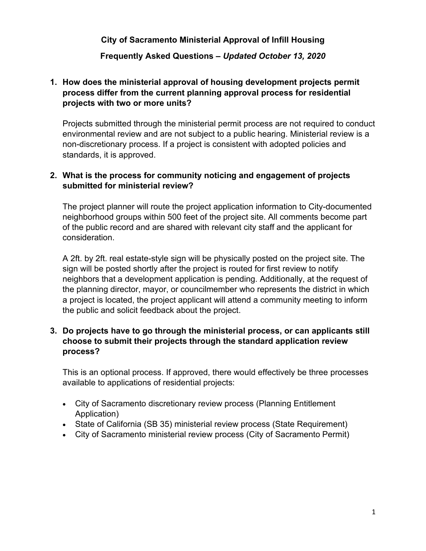**City of Sacramento Ministerial Approval of Infill Housing**

### **Frequently Asked Questions –** *Updated October 13, 2020*

## **1. How does the ministerial approval of housing development projects permit process differ from the current planning approval process for residential projects with two or more units?**

Projects submitted through the ministerial permit process are not required to conduct environmental review and are not subject to a public hearing. Ministerial review is a non-discretionary process. If a project is consistent with adopted policies and standards, it is approved.

### **2. What is the process for community noticing and engagement of projects submitted for ministerial review?**

The project planner will route the project application information to City-documented neighborhood groups within 500 feet of the project site. All comments become part of the public record and are shared with relevant city staff and the applicant for consideration.

A 2ft. by 2ft. real estate-style sign will be physically posted on the project site. The sign will be posted shortly after the project is routed for first review to notify neighbors that a development application is pending. Additionally, at the request of the planning director, mayor, or councilmember who represents the district in which a project is located, the project applicant will attend a community meeting to inform the public and solicit feedback about the project.

#### **3. Do projects have to go through the ministerial process, or can applicants still choose to submit their projects through the standard application review process?**

This is an optional process. If approved, there would effectively be three processes available to applications of residential projects:

- City of Sacramento discretionary review process (Planning Entitlement Application)
- State of California (SB 35) ministerial review process (State Requirement)
- City of Sacramento ministerial review process (City of Sacramento Permit)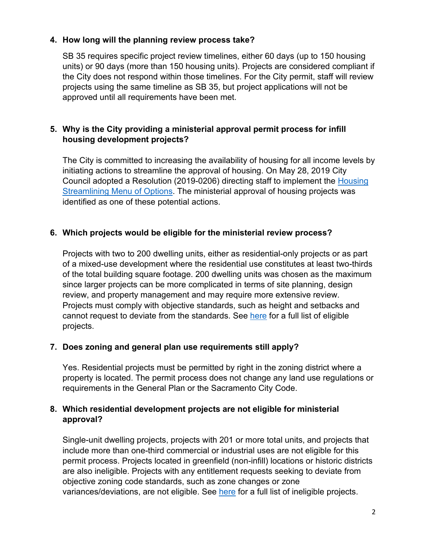### **4. How long will the planning review process take?**

SB 35 requires specific project review timelines, either 60 days (up to 150 housing units) or 90 days (more than 150 housing units). Projects are considered compliant if the City does not respond within those timelines. For the City permit, staff will review projects using the same timeline as SB 35, but project applications will not be approved until all requirements have been met.

# **5. Why is the City providing a ministerial approval permit process for infill housing development projects?**

The City is committed to increasing the availability of housing for all income levels by initiating actions to streamline the approval of housing. On May 28, 2019 City Council adopted a Resolution (2019-0206) directing staff to implement the [Housing](https://sacramento.granicus.com/MetaViewer.php?view_id=22&clip_id=4605&meta_id=582560)  [Streamlining Menu of Options.](https://sacramento.granicus.com/MetaViewer.php?view_id=22&clip_id=4605&meta_id=582560) The ministerial approval of housing projects was identified as one of these potential actions.

### **6. Which projects would be eligible for the ministerial review process?**

Projects with two to 200 dwelling units, either as residential-only projects or as part of a mixed-use development where the residential use constitutes at least two-thirds of the total building square footage. 200 dwelling units was chosen as the maximum since larger projects can be more complicated in terms of site planning, design review, and property management and may require more extensive review. Projects must comply with objective standards, such as height and setbacks and cannot request to deviate from the standards. See [here](https://www.cityofsacramento.org/Community-Development/Planning/Major-Projects/Ministerial-Housing) for a full list of eligible projects.

### **7. Does zoning and general plan use requirements still apply?**

Yes. Residential projects must be permitted by right in the zoning district where a property is located. The permit process does not change any land use regulations or requirements in the General Plan or the Sacramento City Code.

### **8. Which residential development projects are not eligible for ministerial approval?**

Single-unit dwelling projects, projects with 201 or more total units, and projects that include more than one-third commercial or industrial uses are not eligible for this permit process. Projects located in greenfield (non-infill) locations or historic districts are also ineligible. Projects with any entitlement requests seeking to deviate from objective zoning code standards, such as zone changes or zone variances/deviations, are not eligible. See [here](https://www.cityofsacramento.org/-/media/Corporate/Files/CDD/Planning/Major-Projects/Ministerial-Approval-of-Infill-Housing-Executive-Summary-and-Comparison-Table-07-06-2020.pdf?la=en) for a full list of ineligible projects.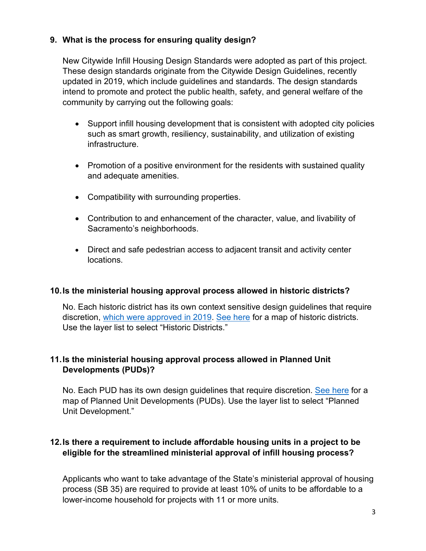### **9. What is the process for ensuring quality design?**

New Citywide Infill Housing Design Standards were adopted as part of this project. These design standards originate from the Citywide Design Guidelines, recently updated in 2019, which include guidelines and standards. The design standards intend to promote and protect the public health, safety, and general welfare of the community by carrying out the following goals:

- Support infill housing development that is consistent with adopted city policies such as smart growth, resiliency, sustainability, and utilization of existing infrastructure.
- Promotion of a positive environment for the residents with sustained quality and adequate amenities.
- Compatibility with surrounding properties.
- Contribution to and enhancement of the character, value, and livability of Sacramento's neighborhoods.
- Direct and safe pedestrian access to adjacent transit and activity center locations.

### **10.Is the ministerial housing approval process allowed in historic districts?**

No. Each historic district has its own context sensitive design guidelines that require discretion, [which were approved in 2019.](https://www.cityofsacramento.org/Community-Development/Planning/Urban-Design/Preservation/Historic-District-Plans) [See here](https://www.arcgis.com/apps/webappviewer/index.html?id=6f8e021cb286482b9a649e33ac6e67ea) for a map of historic districts. Use the layer list to select "Historic Districts."

### **11.Is the ministerial housing approval process allowed in Planned Unit Developments (PUDs)?**

No. Each PUD has its own design guidelines that require discretion. [See here](https://www.arcgis.com/apps/webappviewer/index.html?id=6f8e021cb286482b9a649e33ac6e67ea) for a map of Planned Unit Developments (PUDs). Use the layer list to select "Planned Unit Development."

## **12.Is there a requirement to include affordable housing units in a project to be eligible for the streamlined ministerial approval of infill housing process?**

Applicants who want to take advantage of the State's ministerial approval of housing process (SB 35) are required to provide at least 10% of units to be affordable to a lower-income household for projects with 11 or more units.